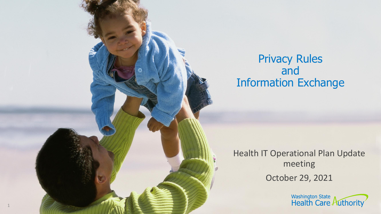### Privacy Rules and Information Exchange

Health IT Operational Plan Update meeting October 29, 2021

1

Washington State<br>Health Care Authority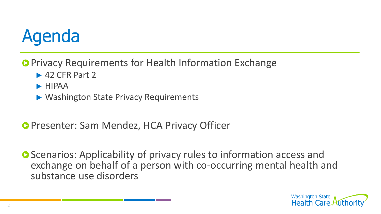# Agenda

- **Privacy Requirements for Health Information Exchange** 
	- $\blacktriangleright$  42 CFR Part 2
	- $\blacktriangleright$  HIPAA
	- ▶ Washington State Privacy Requirements
- **Presenter: Sam Mendez, HCA Privacy Officer**
- **O** Scenarios: Applicability of privacy rules to information access and exchange on behalf of a person with co-occurring mental health and substance use disorders

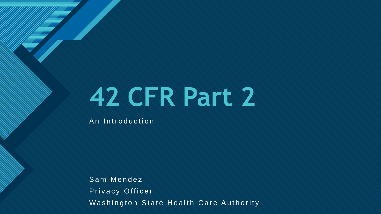# **42 CFR Part 2**

An Introduction

**Click to edit Master title style**

Sam Mendez Privacy Officer Washington State Health Care Authority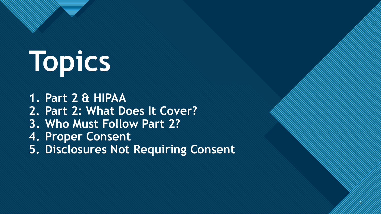# **Topics**

**Click to edit Master the State of the State of the State of the State of the State of the State of the State of the State of the State of the State of the State of the State of the State of the State of the State of the S** 

**1. Part 2 & HIPAA 2. Part 2: What Does It Cover? 3. Who Must Follow Part 2? 4. Proper Consent 5. Disclosures Not Requiring Consent**

4

4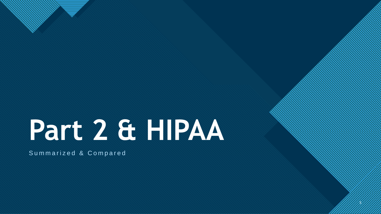# **Part 2 & HIPAA**

5

5

**Click to edit Master the State of the State of the State of the State of the State of the State of the State of the State of the State of the State of the State of the State of the State of the State of the State of the S** 

Summarized & Compared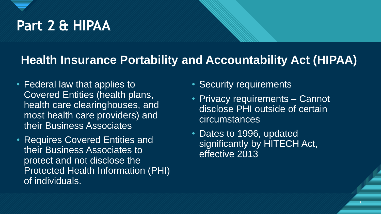# Part 2 & HIPAA

### **Health Insurance Portability and Accountability Act (HIPAA)**

- Federal law that applies to Covered Entities (health plans, health care clearinghouses, and most health care providers) and their Business Associates
- Requires Covered Entities and their Business Associates to protect and not disclose the Protected Health Information (PHI) of individuals.
- Security requirements
- **Privacy requirements Cannot** disclose PHI outside of certain circumstances
- Dates to 1996, updated significantly by HITECH Act, effective 2013

6 6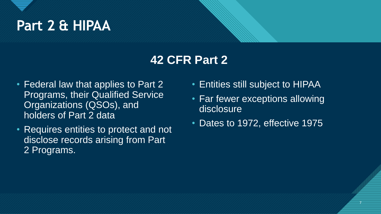

### **42 CFR Part 2**

- Federal law that applies to Part 2 Programs, their Qualified Service Organizations (QSOs), and holders of Part 2 data
- Requires entities to protect and not disclose records arising from Part 2 Programs.
- Entities still subject to HIPAA
- Far fewer exceptions allowing disclosure
- Dates to 1972, effective 1975

7 7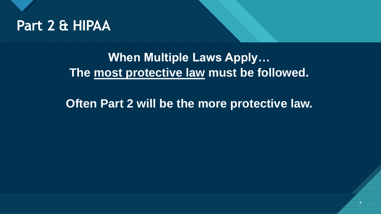

### **When Multiple Laws Apply… The most protective law must be followed.**

**Often Part 2 will be the more protective law.**

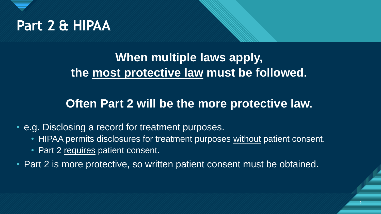

### **When multiple laws apply, the most protective law must be followed.**

### **Often Part 2 will be the more protective law.**

9 9

#### • e.g. Disclosing a record for treatment purposes.

- HIPAA permits disclosures for treatment purposes without patient consent.
- Part 2 requires patient consent.
- Part 2 is more protective, so written patient consent must be obtained.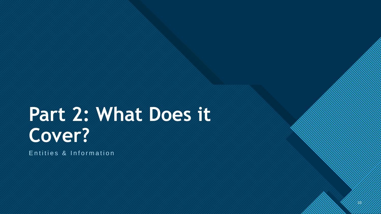10

10

Entities & Information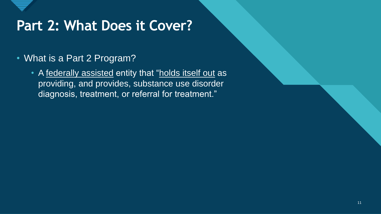

- What is a Part 2 Program?
	- A federally assisted entity that "holds itself out as providing, and provides, substance use disorder diagnosis, treatment, or referral for treatment."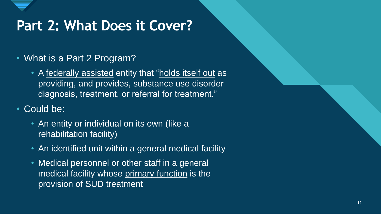

- What is a Part 2 Program?
	- A federally assisted entity that "holds itself out as providing, and provides, substance use disorder diagnosis, treatment, or referral for treatment."
- Could be:
	- An entity or individual on its own (like a rehabilitation facility)
	- An identified unit within a general medical facility
	- Medical personnel or other staff in a general medical facility whose primary function is the provision of SUD treatment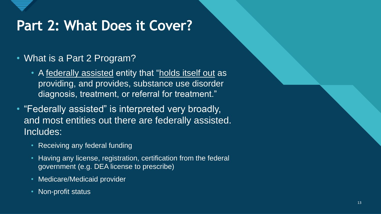

#### • What is a Part 2 Program?

- A federally assisted entity that "holds itself out as providing, and provides, substance use disorder diagnosis, treatment, or referral for treatment."
- "Federally assisted" is interpreted very broadly, and most entities out there are federally assisted. Includes:
	- **Receiving any federal funding**
	- Having any license, registration, certification from the federal government (e.g. DEA license to prescribe)
	- Medicare/Medicaid provider
	- Non-profit status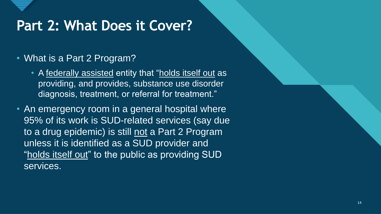

#### • What is a Part 2 Program?

- A federally assisted entity that "holds itself out as providing, and provides, substance use disorder diagnosis, treatment, or referral for treatment."
- An emergency room in a general hospital where 95% of its work is SUD-related services (say due to a drug epidemic) is still not a Part 2 Program unless it is identified as a SUD provider and "holds itself out" to the public as providing SUD services.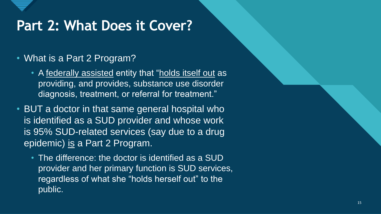

#### • What is a Part 2 Program?

- A federally assisted entity that "holds itself out as providing, and provides, substance use disorder diagnosis, treatment, or referral for treatment."
- BUT a doctor in that same general hospital who is identified as a SUD provider and whose work is 95% SUD-related services (say due to a drug epidemic) is a Part 2 Program.
	- The difference: the doctor is identified as a SUD provider and her primary function is SUD services, regardless of what she "holds herself out" to the public.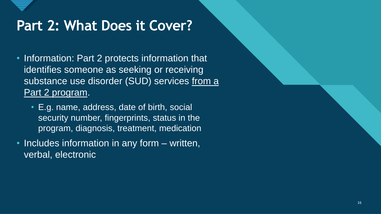

- Information: Part 2 protects information that identifies someone as seeking or receiving substance use disorder (SUD) services from a Part 2 program.
	- E.g. name, address, date of birth, social security number, fingerprints, status in the program, diagnosis, treatment, medication
- Includes information in any form written, verbal, electronic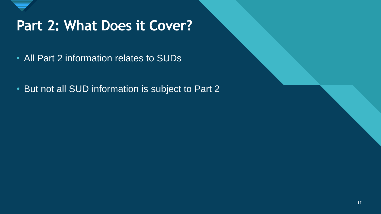

- All Part 2 information relates to SUDs
- But not all SUD information is subject to Part 2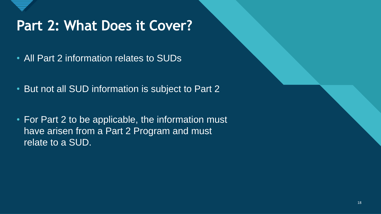

- All Part 2 information relates to SUDs
- But not all SUD information is subject to Part 2
- For Part 2 to be applicable, the information must have arisen from a Part 2 Program and must relate to a SUD.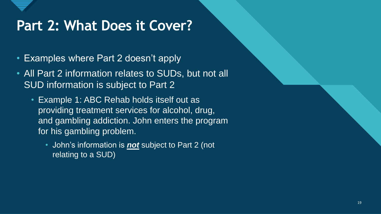

- Examples where Part 2 doesn't apply
- All Part 2 information relates to SUDs, but not all SUD information is subject to Part 2
	- Example 1: ABC Rehab holds itself out as providing treatment services for alcohol, drug, and gambling addiction. John enters the program for his gambling problem.
		- John's information is *not* subject to Part 2 (not relating to a SUD)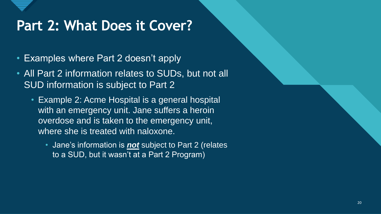

- Examples where Part 2 doesn't apply
- All Part 2 information relates to SUDs, but not all SUD information is subject to Part 2
	- Example 2: Acme Hospital is a general hospital with an emergency unit. Jane suffers a heroin overdose and is taken to the emergency unit, where she is treated with naloxone.
		- Jane's information is *not* subject to Part 2 (relates to a SUD, but it wasn't at a Part 2 Program)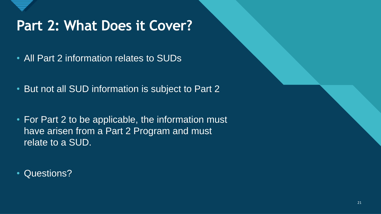

- All Part 2 information relates to SUDs
- But not all SUD information is subject to Part 2
- For Part 2 to be applicable, the information must have arisen from a Part 2 Program and must relate to a SUD.
- Questions?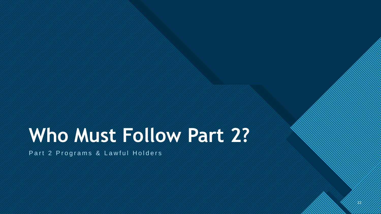# **Who Must Follow Part 2?**

22

22

Part 2 Programs & Lawful Holders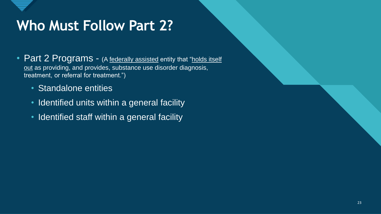

# **Who Must Follow Part 2?**

- Part 2 Programs (A federally assisted entity that "holds itself out as providing, and provides, substance use disorder diagnosis, treatment, or referral for treatment.")
	- Standalone entities
	- Identified units within a general facility
	- Identified staff within a general facility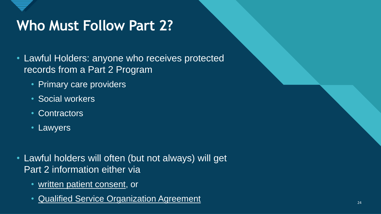

# **Who Must Follow Part 2?**

- Lawful Holders: anyone who receives protected records from a Part 2 Program
	- Primary care providers
	- Social workers
	- Contractors
	- Lawyers
- Lawful holders will often (but not always) will get Part 2 information either via
	- written patient consent, or
	- Qualified Service Organization Agreement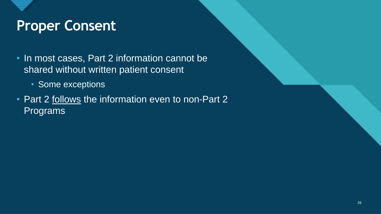- In most cases, Part 2 information cannot be shared without written patient consent
	- Some exceptions
- Part 2 follows the information even to non-Part 2 Programs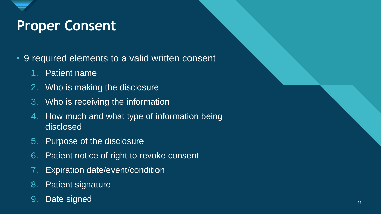- 9 required elements to a valid written consent
	- 1. Patient name
	- 2. Who is making the disclosure
	- 3. Who is receiving the information
	- 4. How much and what type of information being disclosed
	- 5. Purpose of the disclosure
	- 6. Patient notice of right to revoke consent
	- 7. Expiration date/event/condition
	- 8. Patient signature
	- 9. Date signed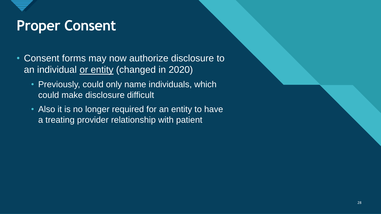- Consent forms may now authorize disclosure to an individual or entity (changed in 2020)
	- Previously, could only name individuals, which could make disclosure difficult
	- Also it is no longer required for an entity to have a treating provider relationship with patient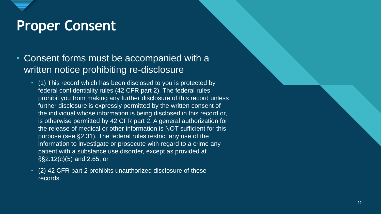#### • Consent forms must be accompanied with a written notice prohibiting re-disclosure

- (1) This record which has been disclosed to you is protected by federal confidentiality rules (42 CFR part 2). The federal rules prohibit you from making any further disclosure of this record unless further disclosure is expressly permitted by the written consent of the individual whose information is being disclosed in this record or, is otherwise permitted by 42 CFR part 2. A general authorization for the release of medical or other information is NOT sufficient for this purpose (see §2.31). The federal rules restrict any use of the information to investigate or prosecute with regard to a crime any patient with a substance use disorder, except as provided at §§2.12(c)(5) and 2.65; or
- (2) 42 CFR part 2 prohibits unauthorized disclosure of these records.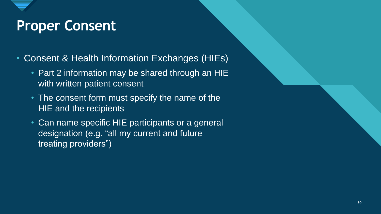- Consent & Health Information Exchanges (HIEs)
	- Part 2 information may be shared through an HIE with written patient consent
	- The consent form must specify the name of the HIE and the recipients
	- Can name specific HIE participants or a general designation (e.g. "all my current and future treating providers")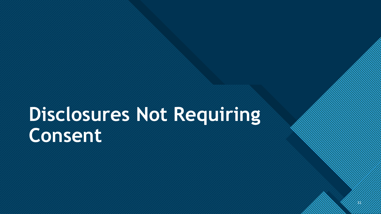31

31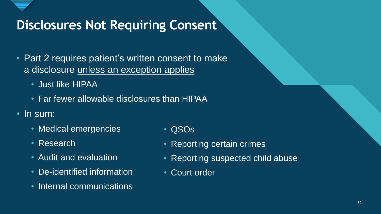

- Part 2 requires patient's written consent to make a disclosure unless an exception applies
	- Just like HIPAA
	- Far fewer allowable disclosures than HIPAA
- In sum:
	- Medical emergencies
	- Research
	- Audit and evaluation
	- De-identified information
	- Internal communications
- QSOs
- Reporting certain crimes
- Reporting suspected child abuse
- Court order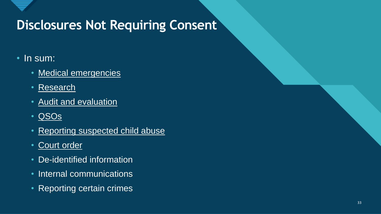

#### • In sum:

- Medical emergencies
- Research
- Audit and evaluation
- QSOs
- Reporting suspected child abuse
- Court order
- De-identified information
- Internal communications
- Reporting certain crimes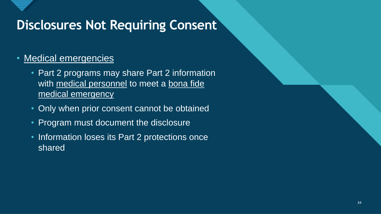

#### • Medical emergencies

- Part 2 programs may share Part 2 information with medical personnel to meet a bona fide medical emergency
- Only when prior consent cannot be obtained
- Program must document the disclosure
- Information loses its Part 2 protections once shared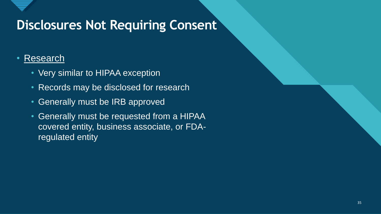#### • Research

- Very similar to HIPAA exception
- Records may be disclosed for research
- Generally must be IRB approved
- Generally must be requested from a HIPAA covered entity, business associate, or FDAregulated entity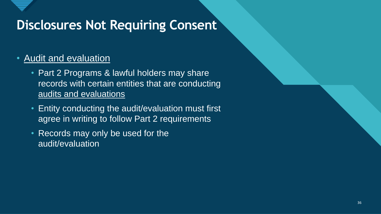#### • Audit and evaluation

- Part 2 Programs & lawful holders may share records with certain entities that are conducting audits and evaluations
- Entity conducting the audit/evaluation must first agree in writing to follow Part 2 requirements
- Records may only be used for the audit/evaluation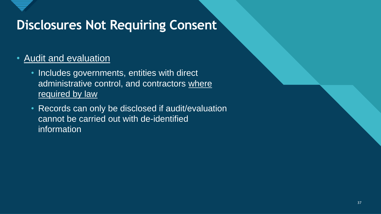

#### • Audit and evaluation

- Includes governments, entities with direct administrative control, and contractors where required by law
- Records can only be disclosed if audit/evaluation cannot be carried out with de-identified information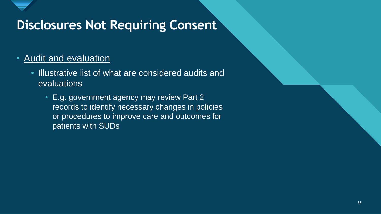#### • Audit and evaluation

- Illustrative list of what are considered audits and evaluations
	- E.g. government agency may review Part 2 records to identify necessary changes in policies or procedures to improve care and outcomes for patients with SUDs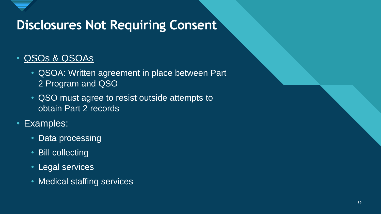

### • QSOs & QSOAs

- QSOA: Written agreement in place between Part 2 Program and QSO
- QSO must agree to resist outside attempts to obtain Part 2 records
- Examples:
	- Data processing
	- Bill collecting
	- Legal services
	- Medical staffing services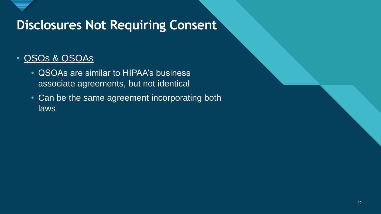

### • QSOs & QSOAs

- QSOAs are similar to HIPAA's business associate agreements, but not identical
- Can be the same agreement incorporating both laws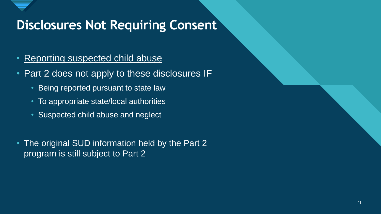- Reporting suspected child abuse
- Part 2 does not apply to these disclosures IF
	- Being reported pursuant to state law
	- To appropriate state/local authorities
	- Suspected child abuse and neglect
- The original SUD information held by the Part 2 program is still subject to Part 2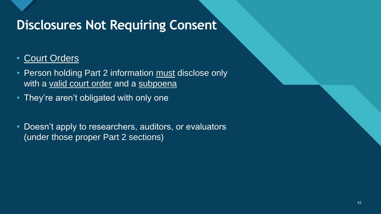

### • Court Orders

- Person holding Part 2 information must disclose only with a valid court order and a subpoena
- They're aren't obligated with only one
- Doesn't apply to researchers, auditors, or evaluators (under those proper Part 2 sections)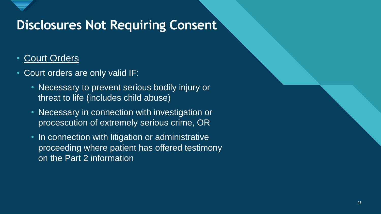

### • Court Orders

- Court orders are only valid IF:
	- Necessary to prevent serious bodily injury or threat to life (includes child abuse)
	- Necessary in connection with investigation or procescution of extremely serious crime, OR
	- In connection with litigation or administrative proceeding where patient has offered testimony on the Part 2 information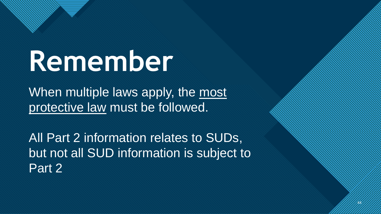# **Remember**

**Click to the Click to edit Master the Click to the Click to the Click to the Click to the Click to the Click to the Click to the Click to the Click to the Click to the Click to the Click to the Click to the Click to the C** 

When multiple laws apply, the most protective law must be followed.

All Part 2 information relates to SUDs, but not all SUD information is subject to Part 2

 $Z_{\ell}$ 

44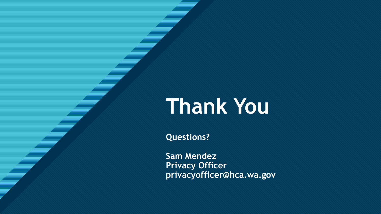# **Thank You**

**Questions?**

**Click to edit Master title style**

**Sam Mendez Privacy Officer privacyofficer@hca.wa.gov**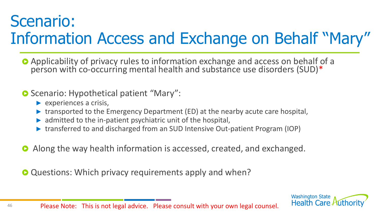# Scenario: Information Access and Exchange on Behalf "Mary"

Applicability of privacy rules to information exchange and access on behalf of a person with co-occurring mental health and substance use disorders (SUD)\*

#### **O** Scenario: Hypothetical patient "Mary":

- $\blacktriangleright$  experiences a crisis,
- ▶ transported to the Emergency Department (ED) at the nearby acute care hospital,
- $\triangleright$  admitted to the in-patient psychiatric unit of the hospital,
- ▶ transferred to and discharged from an SUD Intensive Out-patient Program (IOP)
- Along the way health information is accessed, created, and exchanged.  $\bullet$

**O** Questions: Which privacy requirements apply and when?

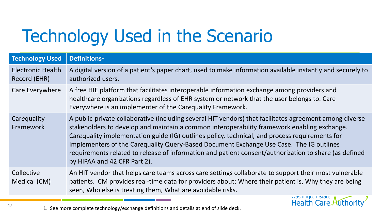# Technology Used in the Scenario

| <b>Technology Used</b>                   | Definitions <sup>1</sup>                                                                                                                                                                                                                                                                                                                                                                                                                                                                                                                     |
|------------------------------------------|----------------------------------------------------------------------------------------------------------------------------------------------------------------------------------------------------------------------------------------------------------------------------------------------------------------------------------------------------------------------------------------------------------------------------------------------------------------------------------------------------------------------------------------------|
| <b>Electronic Health</b><br>Record (EHR) | A digital version of a patient's paper chart, used to make information available instantly and securely to<br>authorized users.                                                                                                                                                                                                                                                                                                                                                                                                              |
| Care Everywhere                          | A free HIE platform that facilitates interoperable information exchange among providers and<br>healthcare organizations regardless of EHR system or network that the user belongs to. Care<br>Everywhere is an implementer of the Carequality Framework.                                                                                                                                                                                                                                                                                     |
| Carequality<br>Framework                 | A public-private collaborative (including several HIT vendors) that facilitates agreement among diverse<br>stakeholders to develop and maintain a common interoperability framework enabling exchange.<br>Carequality implementation guide (IG) outlines policy, technical, and process requirements for<br>Implementers of the Carequality Query-Based Document Exchange Use Case. The IG outlines<br>requirements related to release of information and patient consent/authorization to share (as defined<br>by HIPAA and 42 CFR Part 2). |
| Collective<br>Medical (CM)               | An HIT vendor that helps care teams across care settings collaborate to support their most vulnerable<br>patients. CM provides real-time data for providers about: Where their patient is, Why they are being<br>seen, Who else is treating them, What are avoidable risks.                                                                                                                                                                                                                                                                  |
|                                          | Wasnington State<br>Health Care Authority                                                                                                                                                                                                                                                                                                                                                                                                                                                                                                    |

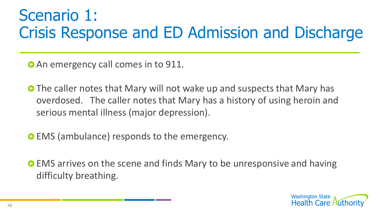# Scenario 1: Crisis Response and ED Admission and Discharge

**O** An emergency call comes in to 911.

- **O** The caller notes that Mary will not wake up and suspects that Mary has overdosed. The caller notes that Mary has a history of using heroin and serious mental illness (major depression).
- **EMS** (ambulance) responds to the emergency.
- **EMS** arrives on the scene and finds Mary to be unresponsive and having difficulty breathing.

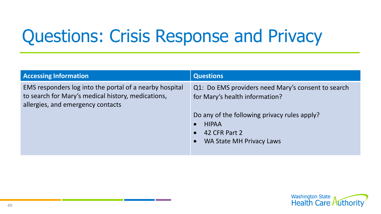# Questions: Crisis Response and Privacy

| <b>Accessing Information</b>                                                                                                                       | <b>Questions</b>                                                                                                                                        |
|----------------------------------------------------------------------------------------------------------------------------------------------------|---------------------------------------------------------------------------------------------------------------------------------------------------------|
| EMS responders log into the portal of a nearby hospital<br>to search for Mary's medical history, medications,<br>allergies, and emergency contacts | Q1: Do EMS providers need Mary's consent to search<br>for Mary's health information?                                                                    |
|                                                                                                                                                    | Do any of the following privacy rules apply?<br><b>HIPAA</b><br>$\bullet$<br>42 CFR Part 2<br>$\bullet$<br><b>WA State MH Privacy Laws</b><br>$\bullet$ |

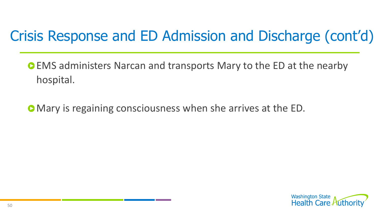# Crisis Response and ED Admission and Discharge (cont'd)

EMS administers Narcan and transports Mary to the ED at the nearby hospital.

Mary is regaining consciousness when she arrives at the ED.

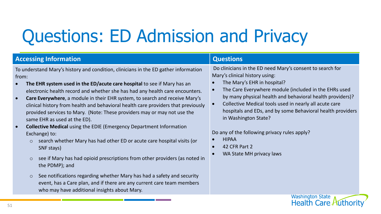# Questions: ED Admission and Privacy

| <b>Accessing Information</b>                                                                                                                                                                                                                                                                                                                                                                                                                                                                                                                                                                                                                                                                                                                                                                                                                                                                                                                                                                                                                                        | <b>Questions</b>                                                                                                                                                                                                                                                                                                                                                                                                                                                                                              |
|---------------------------------------------------------------------------------------------------------------------------------------------------------------------------------------------------------------------------------------------------------------------------------------------------------------------------------------------------------------------------------------------------------------------------------------------------------------------------------------------------------------------------------------------------------------------------------------------------------------------------------------------------------------------------------------------------------------------------------------------------------------------------------------------------------------------------------------------------------------------------------------------------------------------------------------------------------------------------------------------------------------------------------------------------------------------|---------------------------------------------------------------------------------------------------------------------------------------------------------------------------------------------------------------------------------------------------------------------------------------------------------------------------------------------------------------------------------------------------------------------------------------------------------------------------------------------------------------|
| To understand Mary's history and condition, clinicians in the ED gather information<br>from:<br>The EHR system used in the ED/acute care hospital to see if Mary has an<br>electronic health record and whether she has had any health care encounters.<br>Care Everywhere, a module in their EHR system, to search and receive Mary's<br>clinical history from health and behavioral health care providers that previously<br>provided services to Mary. (Note: These providers may or may not use the<br>same EHR as used at the ED).<br><b>Collective Medical using the EDIE (Emergency Department Information</b><br>Exchange) to:<br>search whether Mary has had other ED or acute care hospital visits (or<br>$\circ$<br>SNF stays)<br>see if Mary has had opioid prescriptions from other providers (as noted in<br>$\circ$<br>the PDMP); and<br>See notifications regarding whether Mary has had a safety and security<br>$\circ$<br>event, has a Care plan, and if there are any current care team members<br>who may have additional insights about Mary. | Do clinicians in the ED need Mary's consent to search for<br>Mary's clinical history using:<br>The Mary's EHR in hospital?<br>The Care Everywhere module (included in the EHRs used<br>by many physical health and behavioral health providers)?<br>Collective Medical tools used in nearly all acute care<br>hospitals and EDs, and by some Behavioral health providers<br>in Washington State?<br>Do any of the following privacy rules apply?<br><b>HIPAA</b><br>42 CFR Part 2<br>WA State MH privacy laws |
|                                                                                                                                                                                                                                                                                                                                                                                                                                                                                                                                                                                                                                                                                                                                                                                                                                                                                                                                                                                                                                                                     | <b>Washington State</b><br><b>Health Care</b>                                                                                                                                                                                                                                                                                                                                                                                                                                                                 |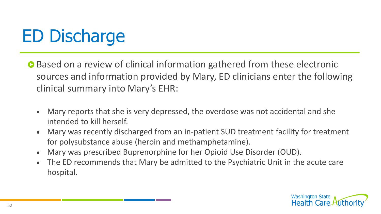# ED Discharge

- Based on a review of clinical information gathered from these electronic sources and information provided by Mary, ED clinicians enter the following clinical summary into Mary's EHR:
	- Mary reports that she is very depressed, the overdose was not accidental and she intended to kill herself.
	- Mary was recently discharged from an in-patient SUD treatment facility for treatment for polysubstance abuse (heroin and methamphetamine).
	- Mary was prescribed Buprenorphine for her Opioid Use Disorder (OUD).
	- The ED recommends that Mary be admitted to the Psychiatric Unit in the acute care hospital.

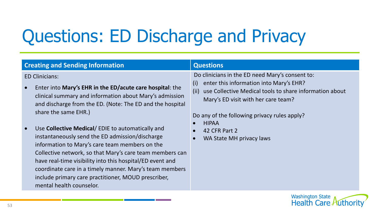# Questions: ED Discharge and Privacy

| <b>Creating and Sending Information</b>                                                                                                                                                                                                                                                                                                                                                                                                                                                                                                                                                                                                                           | <b>Questions</b>                                                                                                                                                                                                                                                                                                         |
|-------------------------------------------------------------------------------------------------------------------------------------------------------------------------------------------------------------------------------------------------------------------------------------------------------------------------------------------------------------------------------------------------------------------------------------------------------------------------------------------------------------------------------------------------------------------------------------------------------------------------------------------------------------------|--------------------------------------------------------------------------------------------------------------------------------------------------------------------------------------------------------------------------------------------------------------------------------------------------------------------------|
| <b>ED Clinicians:</b><br>Enter into Mary's EHR in the ED/acute care hospital: the<br>clinical summary and information about Mary's admission<br>and discharge from the ED. (Note: The ED and the hospital<br>share the same EHR.)<br>Use Collective Medical/EDIE to automatically and<br>instantaneously send the ED admission/discharge<br>information to Mary's care team members on the<br>Collective network, so that Mary's care team members can<br>have real-time visibility into this hospital/ED event and<br>coordinate care in a timely manner. Mary's team members<br>include primary care practitioner, MOUD prescriber,<br>mental health counselor. | Do clinicians in the ED need Mary's consent to:<br>enter this information into Mary's EHR?<br>(i)<br>use Collective Medical tools to share information about<br>(ii)<br>Mary's ED visit with her care team?<br>Do any of the following privacy rules apply?<br><b>HIPAA</b><br>42 CFR Part 2<br>WA State MH privacy laws |
|                                                                                                                                                                                                                                                                                                                                                                                                                                                                                                                                                                                                                                                                   |                                                                                                                                                                                                                                                                                                                          |

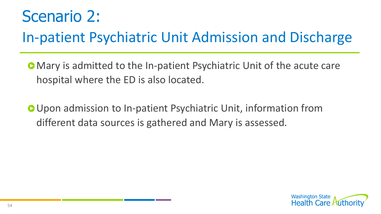# Scenario 2:

# In-patient Psychiatric Unit Admission and Discharge

- Mary is admitted to the In-patient Psychiatric Unit of the acute care hospital where the ED is also located.
- Upon admission to In-patient Psychiatric Unit, information from different data sources is gathered and Mary is assessed.

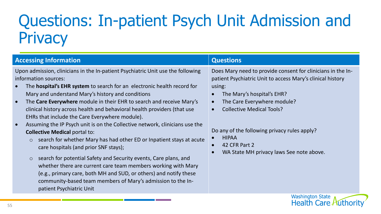# Questions: In-patient Psych Unit Admission and **Privacy**

| <b>Accessing Information</b>                                                                                                                                                                                                                                                                                                                                                                                                                                                                                                                                                                                                                                                                                                                                                                                                                                                                                                                                                                                                         | <b>Questions</b>                                                                                                                                                                                                                                                                                                                                                  |
|--------------------------------------------------------------------------------------------------------------------------------------------------------------------------------------------------------------------------------------------------------------------------------------------------------------------------------------------------------------------------------------------------------------------------------------------------------------------------------------------------------------------------------------------------------------------------------------------------------------------------------------------------------------------------------------------------------------------------------------------------------------------------------------------------------------------------------------------------------------------------------------------------------------------------------------------------------------------------------------------------------------------------------------|-------------------------------------------------------------------------------------------------------------------------------------------------------------------------------------------------------------------------------------------------------------------------------------------------------------------------------------------------------------------|
| Upon admission, clinicians in the In-patient Psychiatric Unit use the following<br>information sources:<br>The <b>hospital's EHR system</b> to search for an electronic health record for<br>Mary and understand Mary's history and conditions<br>The Care Everywhere module in their EHR to search and receive Mary's<br>$\bullet$<br>clinical history across health and behavioral health providers (that use<br>EHRs that include the Care Everywhere module).<br>Assuming the IP Psych unit is on the Collective network, clinicians use the<br><b>Collective Medical portal to:</b><br>search for whether Mary has had other ED or Inpatient stays at acute<br>$\circ$<br>care hospitals (and prior SNF stays);<br>search for potential Safety and Security events, Care plans, and<br>$\circ$<br>whether there are current care team members working with Mary<br>(e.g., primary care, both MH and SUD, or others) and notify these<br>community-based team members of Mary's admission to the In-<br>patient Psychiatric Unit | Does Mary need to provide consent for clinicians in the In-<br>patient Psychiatric Unit to access Mary's clinical history<br>using:<br>The Mary's hospital's EHR?<br>The Care Everywhere module?<br><b>Collective Medical Tools?</b><br>Do any of the following privacy rules apply?<br><b>HIPAA</b><br>42 CFR Part 2<br>WA State MH privacy laws See note above. |
|                                                                                                                                                                                                                                                                                                                                                                                                                                                                                                                                                                                                                                                                                                                                                                                                                                                                                                                                                                                                                                      | <b>Washington State</b>                                                                                                                                                                                                                                                                                                                                           |

**Health Care Authority**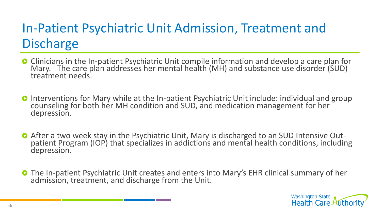# In-Patient Psychiatric Unit Admission, Treatment and **Discharge**

- **O** Clinicians in the In-patient Psychiatric Unit compile information and develop a care plan for Mary. The care plan addresses her mental health (MH) and substance use disorder (SUD) treatment needs.
- **O** Interventions for Mary while at the In-patient Psychiatric Unit include: individual and group counseling for both her MH condition and SUD, and medication management for her depression.
- After a two week stay in the Psychiatric Unit, Mary is discharged to an SUD Intensive Outpatient Program (IOP) that specializes in addictions and mental health conditions, including depression.
- The In-patient Psychiatric Unit creates and enters into Mary's EHR clinical summary of her admission, treatment, and discharge from the Unit.

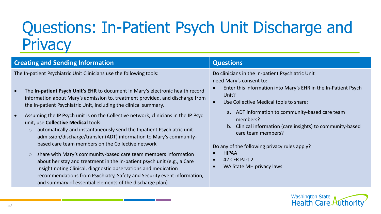# Questions: In-Patient Psych Unit Discharge and **Privacy**

| <b>Creating and Sending Information</b>                                                                                                                                                                                                                                                                                                                                                                                 | <b>Questions</b>                                                                                                                                                                                                                       |
|-------------------------------------------------------------------------------------------------------------------------------------------------------------------------------------------------------------------------------------------------------------------------------------------------------------------------------------------------------------------------------------------------------------------------|----------------------------------------------------------------------------------------------------------------------------------------------------------------------------------------------------------------------------------------|
| The In-patient Psychiatric Unit Clinicians use the following tools:<br>The In-patient Psych Unit's EHR to document in Mary's electronic health record<br>information about Mary's admission to, treatment provided, and discharge from<br>the In-patient Psychiatric Unit, including the clinical summary.                                                                                                              | Do clinicians in the In-patient Psychiatric Unit<br>need Mary's consent to:<br>Enter this information into Mary's EHR in the In-Patient Psych<br>Unit?<br>Use Collective Medical tools to share:<br>$\bullet$                          |
| Assuming the IP Psych unit is on the Collective network, clinicians in the IP Psyc<br>unit, use Collective Medical tools:<br>automatically and instantaneously send the Inpatient Psychiatric unit<br>$\circ$<br>admission/discharge/transfer (ADT) information to Mary's community-<br>based care team members on the Collective network<br>share with Mary's community-based care team members information<br>$\circ$ | ADT information to community-based care team<br>a.<br>members?<br>Clinical information (care insights) to community-based<br>b.<br>care team members?<br>Do any of the following privacy rules apply?<br><b>HIPAA</b><br>42 CFR Part 2 |
| about her stay and treatment in the in-patient psych unit (e.g., a Care<br>Insight noting Clinical, diagnostic observations and medication<br>recommendations from Psychiatry, Safety and Security event information,<br>and summary of essential elements of the discharge plan)                                                                                                                                       | WA State MH privacy laws                                                                                                                                                                                                               |

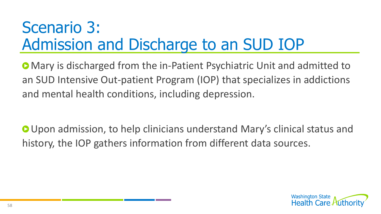# Scenario 3: Admission and Discharge to an SUD IOP

Mary is discharged from the in-Patient Psychiatric Unit and admitted to an SUD Intensive Out-patient Program (IOP) that specializes in addictions and mental health conditions, including depression.

**O** Upon admission, to help clinicians understand Mary's clinical status and history, the IOP gathers information from different data sources.

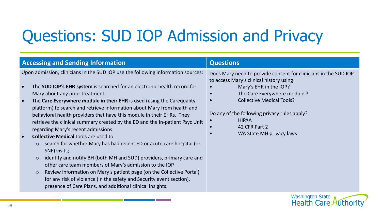# Questions: SUD IOP Admission and Privacy

| <b>Accessing and Sending Information</b>                                                                                                                                                                                                                                                                                                                                                                                                                                                                                                                                                                                                                                                                                                                                                                                                                                                                                                                                                                                                                                                 | <b>Questions</b>                                                                                                                                                                                                                                                                                                       |
|------------------------------------------------------------------------------------------------------------------------------------------------------------------------------------------------------------------------------------------------------------------------------------------------------------------------------------------------------------------------------------------------------------------------------------------------------------------------------------------------------------------------------------------------------------------------------------------------------------------------------------------------------------------------------------------------------------------------------------------------------------------------------------------------------------------------------------------------------------------------------------------------------------------------------------------------------------------------------------------------------------------------------------------------------------------------------------------|------------------------------------------------------------------------------------------------------------------------------------------------------------------------------------------------------------------------------------------------------------------------------------------------------------------------|
| Upon admission, clinicians in the SUD IOP use the following information sources:<br>The SUD IOP's EHR system is searched for an electronic health record for<br>Mary about any prior treatment<br>The Care Everywhere module in their EHR is used (using the Carequality<br>$\bullet$<br>platform) to search and retrieve information about Mary from health and<br>behavioral health providers that have this module in their EHRs. They<br>retrieve the clinical summary created by the ED and the In-patient Psyc Unit<br>regarding Mary's recent admissions.<br><b>Collective Medical tools are used to:</b><br>search for whether Mary has had recent ED or acute care hospital (or<br>$\circ$<br>SNF) visits;<br>identify and notify BH (both MH and SUD) providers, primary care and<br>$\circ$<br>other care team members of Mary's admission to the IOP<br>Review information on Mary's patient page (on the Collective Portal)<br>$\circ$<br>for any risk of violence (in the safety and Security event section),<br>presence of Care Plans, and additional clinical insights. | Does Mary need to provide consent for clinicians in the SUD IOP<br>to access Mary's clinical history using:<br>Mary's EHR in the IOP?<br>The Care Everywhere module ?<br><b>Collective Medical Tools?</b><br>Do any of the following privacy rules apply?<br><b>HIPAA</b><br>42 CFR Part 2<br>WA State MH privacy laws |
|                                                                                                                                                                                                                                                                                                                                                                                                                                                                                                                                                                                                                                                                                                                                                                                                                                                                                                                                                                                                                                                                                          | Wachington Ctato                                                                                                                                                                                                                                                                                                       |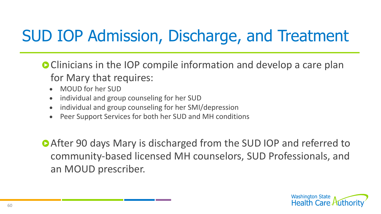# SUD IOP Admission, Discharge, and Treatment

**C** Clinicians in the IOP compile information and develop a care plan for Mary that requires:

- MOUD for her SUD
- individual and group counseling for her SUD
- individual and group counseling for her SMI/depression
- Peer Support Services for both her SUD and MH conditions

**After 90 days Mary is discharged from the SUD IOP and referred to** community-based licensed MH counselors, SUD Professionals, and an MOUD prescriber.

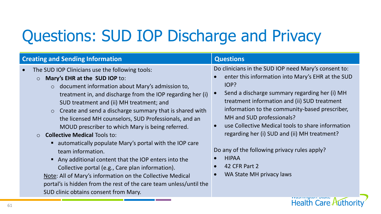# Questions: SUD IOP Discharge and Privacy

| <b>Creating and Sending Information</b>                                                                                                                                                                                                                                                                                                                                                                                                                                                                                                                                                                                                                                                                                                                                                                                                                            | <b>Questions</b>                                                                                                                                                                                                                                                                                                                                                                                                                                                                                                    |
|--------------------------------------------------------------------------------------------------------------------------------------------------------------------------------------------------------------------------------------------------------------------------------------------------------------------------------------------------------------------------------------------------------------------------------------------------------------------------------------------------------------------------------------------------------------------------------------------------------------------------------------------------------------------------------------------------------------------------------------------------------------------------------------------------------------------------------------------------------------------|---------------------------------------------------------------------------------------------------------------------------------------------------------------------------------------------------------------------------------------------------------------------------------------------------------------------------------------------------------------------------------------------------------------------------------------------------------------------------------------------------------------------|
| The SUD IOP Clinicians use the following tools:<br>Mary's EHR at the SUD IOP to:<br>$\circ$<br>$\circ$ document information about Mary's admission to,<br>treatment in, and discharge from the IOP regarding her (i)<br>SUD treatment and (ii) MH treatment; and<br>Create and send a discharge summary that is shared with<br>$\circ$<br>the licensed MH counselors, SUD Professionals, and an<br>MOUD prescriber to which Mary is being referred.<br><b>Collective Medical Tools to:</b><br>■ automatically populate Mary's portal with the IOP care<br>team information.<br>Any additional content that the IOP enters into the<br>Collective portal (e.g., Care plan information).<br>Note: All of Mary's information on the Collective Medical<br>portal's is hidden from the rest of the care team unless/until the<br>SUD clinic obtains consent from Mary. | Do clinicians in the SUD IOP need Mary's consent to:<br>enter this information into Mary's EHR at the SUD<br>IOP?<br>Send a discharge summary regarding her (i) MH<br>treatment information and (ii) SUD treatment<br>information to the community-based prescriber,<br>MH and SUD professionals?<br>use Collective Medical tools to share information<br>regarding her (i) SUD and (ii) MH treatment?<br>Do any of the following privacy rules apply?<br><b>HIPAA</b><br>42 CFR Part 2<br>WA State MH privacy laws |
|                                                                                                                                                                                                                                                                                                                                                                                                                                                                                                                                                                                                                                                                                                                                                                                                                                                                    | <b>Health Care Authori</b>                                                                                                                                                                                                                                                                                                                                                                                                                                                                                          |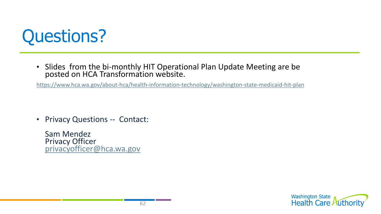

• Slides from the bi-monthly HIT Operational Plan Update Meeting are be posted on HCA Transformation website.

<https://www.hca.wa.gov/about-hca/health-information-technology/washington-state-medicaid-hit-plan>

• Privacy Questions -- Contact:

Sam Mendez Privacy Officer [privacyofficer@hca.wa.gov](mailto:privacyofficer@hca.wa.gov)

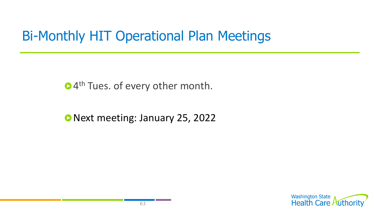# Bi-Monthly HIT Operational Plan Meetings

4<sup>th</sup> Tues. of every other month.

Next meeting: January 25, 2022

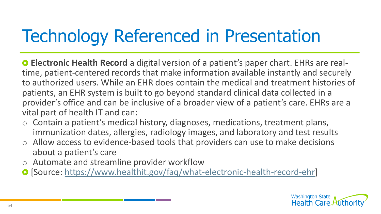# Technology Referenced in Presentation

**Electronic Health Record** a digital version of a patient's paper chart. EHRs are realtime, patient-centered records that make information available instantly and securely to authorized users. While an EHR does contain the medical and treatment histories of patients, an EHR system is built to go beyond standard clinical data collected in a provider's office and can be inclusive of a broader view of a patient's care. EHRs are a vital part of health IT and can:

- o Contain a patient's medical history, diagnoses, medications, treatment plans, immunization dates, allergies, radiology images, and laboratory and test results
- o Allow access to evidence-based tools that providers can use to make decisions about a patient's care
- o Automate and streamline provider workflow
- [Source: [https://www.healthit.gov/faq/what-electronic-health-record-ehr\]](https://www.healthit.gov/faq/what-electronic-health-record-ehr)

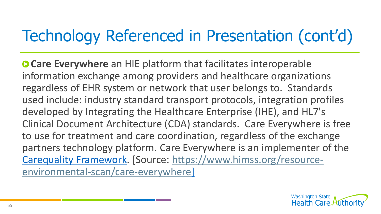**Care Everywhere** an HIE platform that facilitates interoperable information exchange among providers and healthcare organizations regardless of EHR system or network that user belongs to. Standards used include: industry standard transport protocols, integration profiles developed by Integrating the Healthcare Enterprise (IHE), and HL7's Clinical Document Architecture (CDA) standards. Care Everywhere is free to use for treatment and care coordination, regardless of the exchange partners technology platform. Care Everywhere is an implementer of the Carequality [Framework. \[Source: https://www.himss.org/resource](https://www.himss.org/resource-environmental-scan/care-everywhere)environmental-scan/care-everywhere]

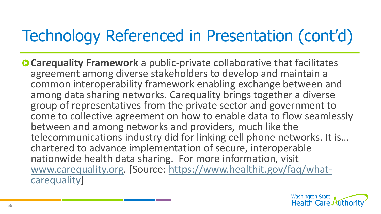**Carequality Framework** a public-private collaborative that facilitates agreement among diverse stakeholders to develop and maintain a common interoperability framework enabling exchange between and among data sharing networks. Car*e*quality brings together a diverse group of representatives from the private sector and government to come to collective agreement on how to enable data to flow seamlessly between and among networks and providers, much like the telecommunications industry did for linking cell phone networks. It is… chartered to advance implementation of secure, interoperable nationwide health data sharing. For more information, visit [www.carequality.org. \[Source: https://www.healthit.gov/faq/what](https://www.healthit.gov/faq/what-carequality)carequality]

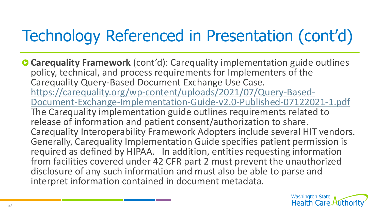**Carequality Framework** (cont'd): Carequality implementation guide outlines policy, technical, and process requirements for Implementers of the Car*e*quality Query-Based Document Exchange Use Case. https://carequality.org/wp-content/uploads/2021/07/Query-Based-[Document-Exchange-Implementation-Guide-v2.0-Published-07122021-1.pdf](https://carequality.org/wp-content/uploads/2021/07/Query-Based-Document-Exchange-Implementation-Guide-v2.0-Published-07122021-1.pdf) The Car*e*quality implementation guide outlines requirements related to release of information and patient consent/authorization to share. Car*e*quality Interoperability Framework Adopters include several HIT vendors. Generally, Car*e*quality Implementation Guide specifies patient permission is required as defined by HIPAA. In addition, entities requesting information from facilities covered under 42 CFR part 2 must prevent the unauthorized disclosure of any such information and must also be able to parse and interpret information contained in document metadata.